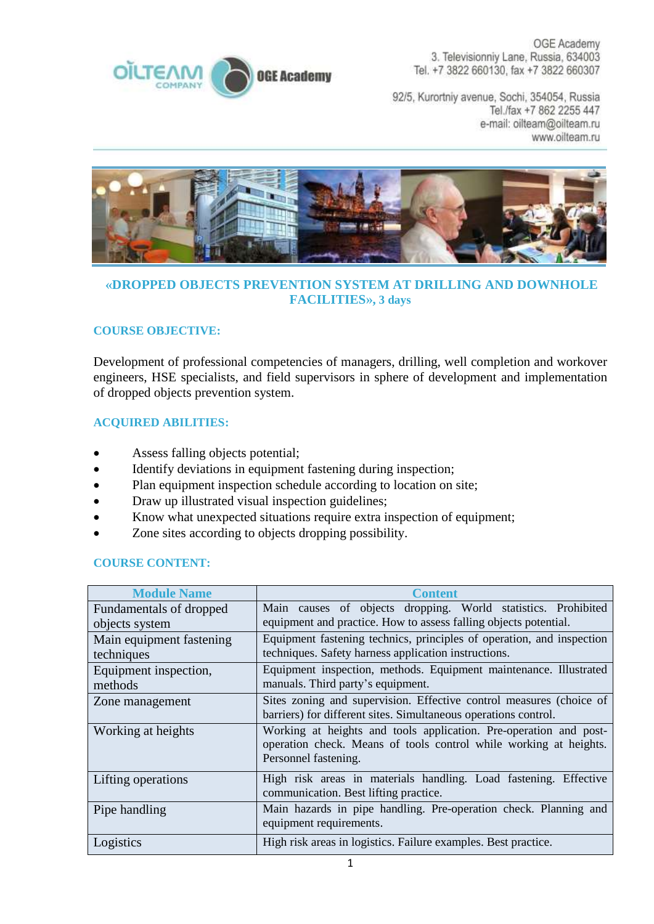

OGE Academy 3. Televisionniy Lane, Russia, 634003 Tel. +7 3822 660130, fax +7 3822 660307

92/5, Kurortniy avenue, Sochi, 354054, Russia Tel./fax +7 862 2255 447 e-mail: oilteam@oilteam.ru www.oilteam.ru



## **«DROPPED OBJECTS PREVENTION SYSTEM AT DRILLING AND DOWNHOLE FACILITIES», 3 days**

## **COURSE OBJECTIVE:**

Development of professional competencies of managers, drilling, well completion and workover engineers, HSE specialists, and field supervisors in sphere of development and implementation of dropped objects prevention system.

## **ACQUIRED ABILITIES:**

- Assess falling objects potential;
- Identify deviations in equipment fastening during inspection;
- Plan equipment inspection schedule according to location on site;
- Draw up illustrated visual inspection guidelines;
- Know what unexpected situations require extra inspection of equipment;
- Zone sites according to objects dropping possibility.

## **COURSE CONTENT:**

| <b>Module Name</b>       | <b>Content</b>                                                        |
|--------------------------|-----------------------------------------------------------------------|
| Fundamentals of dropped  | Main causes of objects dropping. World statistics. Prohibited         |
| objects system           | equipment and practice. How to assess falling objects potential.      |
| Main equipment fastening | Equipment fastening technics, principles of operation, and inspection |
| techniques               | techniques. Safety harness application instructions.                  |
| Equipment inspection,    | Equipment inspection, methods. Equipment maintenance. Illustrated     |
| methods                  | manuals. Third party's equipment.                                     |
| Zone management          | Sites zoning and supervision. Effective control measures (choice of   |
|                          | barriers) for different sites. Simultaneous operations control.       |
| Working at heights       | Working at heights and tools application. Pre-operation and post-     |
|                          | operation check. Means of tools control while working at heights.     |
|                          | Personnel fastening.                                                  |
| Lifting operations       | High risk areas in materials handling. Load fastening. Effective      |
|                          | communication. Best lifting practice.                                 |
| Pipe handling            | Main hazards in pipe handling. Pre-operation check. Planning and      |
|                          | equipment requirements.                                               |
| Logistics                | High risk areas in logistics. Failure examples. Best practice.        |